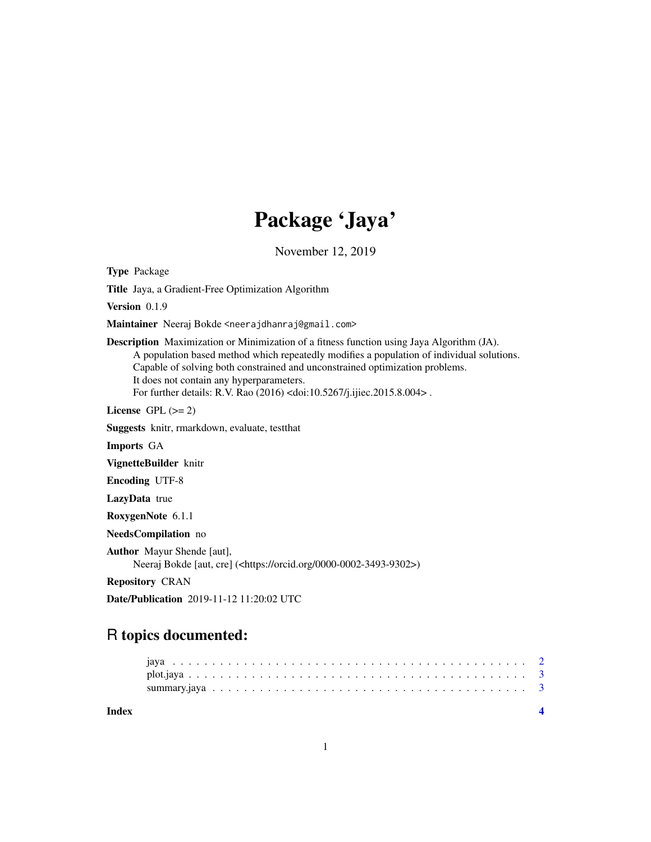## Package 'Jaya'

November 12, 2019

Type Package

Title Jaya, a Gradient-Free Optimization Algorithm

Version 0.1.9

Maintainer Neeraj Bokde <neerajdhanraj@gmail.com>

Description Maximization or Minimization of a fitness function using Jaya Algorithm (JA). A population based method which repeatedly modifies a population of individual solutions. Capable of solving both constrained and unconstrained optimization problems. It does not contain any hyperparameters. For further details: R.V. Rao (2016) <doi:10.5267/j.ijiec.2015.8.004> .

License GPL  $(>= 2)$ 

Suggests knitr, rmarkdown, evaluate, testthat

Imports GA

VignetteBuilder knitr

Encoding UTF-8

LazyData true

RoxygenNote 6.1.1

NeedsCompilation no

Author Mayur Shende [aut], Neeraj Bokde [aut, cre] (<https://orcid.org/0000-0002-3493-9302>)

Repository CRAN

Date/Publication 2019-11-12 11:20:02 UTC

### R topics documented:

**Index** [4](#page-3-0)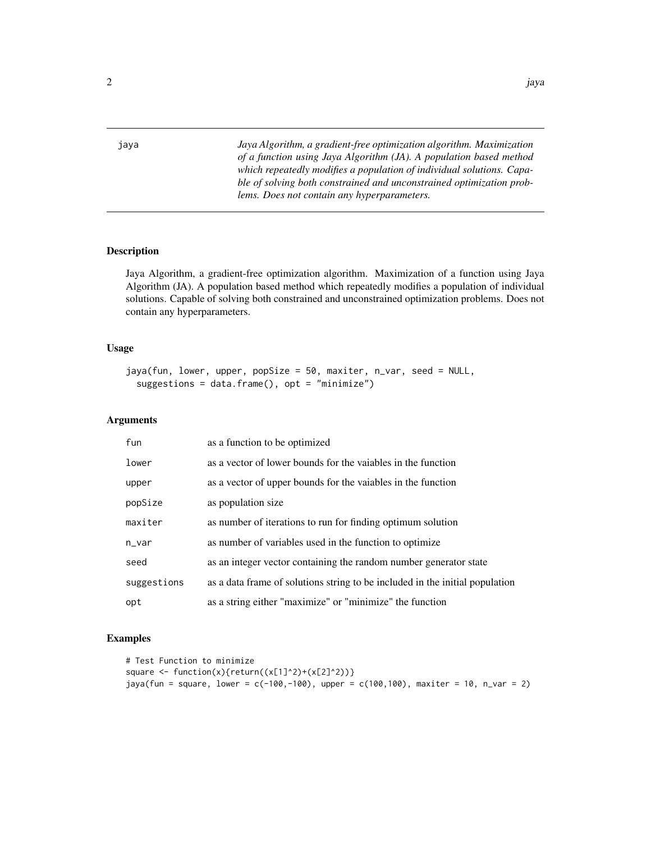<span id="page-1-0"></span>jaya *Jaya Algorithm, a gradient-free optimization algorithm. Maximization of a function using Jaya Algorithm (JA). A population based method which repeatedly modifies a population of individual solutions. Capable of solving both constrained and unconstrained optimization problems. Does not contain any hyperparameters.*

#### Description

Jaya Algorithm, a gradient-free optimization algorithm. Maximization of a function using Jaya Algorithm (JA). A population based method which repeatedly modifies a population of individual solutions. Capable of solving both constrained and unconstrained optimization problems. Does not contain any hyperparameters.

#### Usage

```
jaya(fun, lower, upper, popSize = 50, maxiter, n_var, seed = NULL,
 suggestions = data.frame(), opt = "minimize")
```
#### Arguments

| fun         | as a function to be optimized                                                |
|-------------|------------------------------------------------------------------------------|
| lower       | as a vector of lower bounds for the vaiables in the function                 |
| upper       | as a vector of upper bounds for the vaiables in the function                 |
| popSize     | as population size.                                                          |
| maxiter     | as number of iterations to run for finding optimum solution                  |
| $n$ _var    | as number of variables used in the function to optimize                      |
| seed        | as an integer vector containing the random number generator state            |
| suggestions | as a data frame of solutions string to be included in the initial population |
| opt         | as a string either "maximize" or "minimize" the function                     |

#### Examples

```
# Test Function to minimize
square \leftarrow function(x){return((x[1]^2)+(x[2]^2))}
jaya(fun = square, lower = c(-100,-100), upper = c(100,100), maxiter = 10, n_var = 2)
```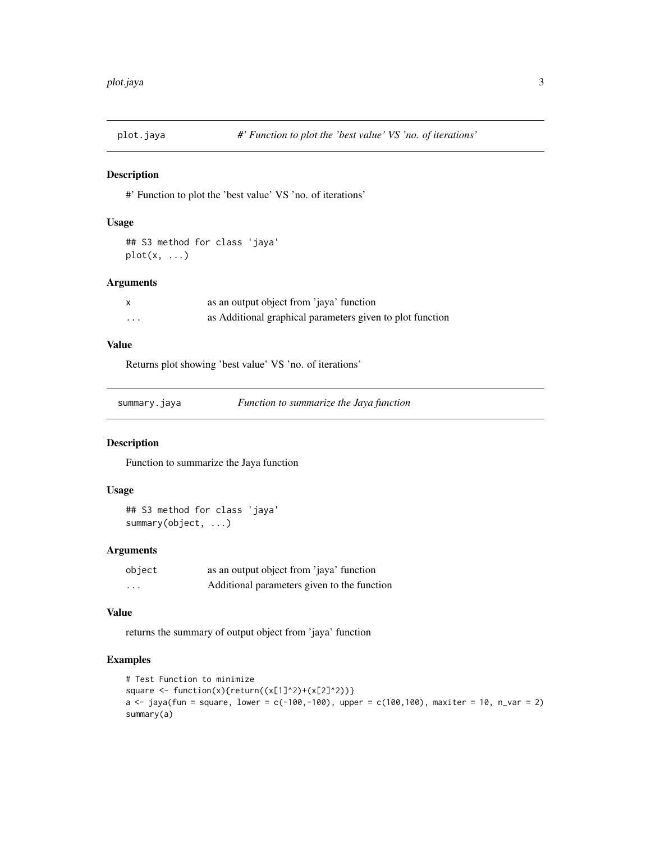<span id="page-2-0"></span>

#### Description

#' Function to plot the 'best value' VS 'no. of iterations'

#### Usage

```
## S3 method for class 'jaya'
plot(x, \ldots)
```
#### Arguments

|         | as an output object from 'jaya' function                  |
|---------|-----------------------------------------------------------|
| $\cdot$ | as Additional graphical parameters given to plot function |

#### Value

Returns plot showing 'best value' VS 'no. of iterations'

| summary.jaya | Function to summarize the Jaya function |
|--------------|-----------------------------------------|
|--------------|-----------------------------------------|

#### Description

Function to summarize the Jaya function

#### Usage

## S3 method for class 'jaya' summary(object, ...)

#### Arguments

| object   | as an output object from 'jaya' function    |
|----------|---------------------------------------------|
| $\cdots$ | Additional parameters given to the function |

#### Value

returns the summary of output object from 'jaya' function

#### Examples

```
# Test Function to minimize
square \leftarrow function(x){return((x[1]^2)+(x[2]^2))}
a \le jaya(fun = square, lower = c(-100,-100), upper = c(100,100), maxiter = 10, n_var = 2)
summary(a)
```